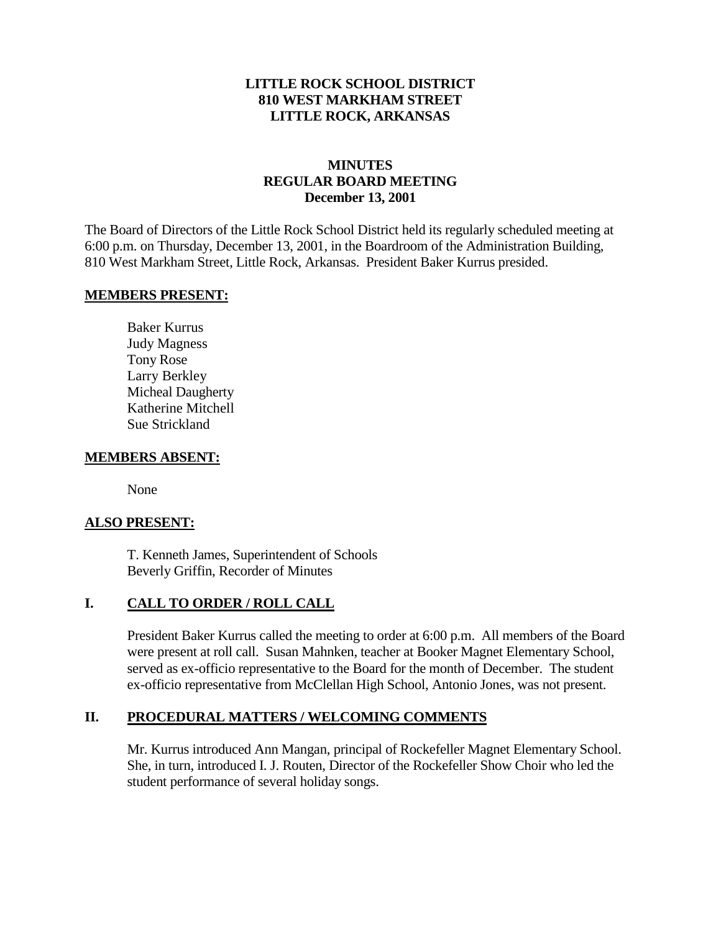### **LITTLE ROCK SCHOOL DISTRICT 810 WEST MARKHAM STREET LITTLE ROCK, ARKANSAS**

# **MINUTES REGULAR BOARD MEETING December 13, 2001**

The Board of Directors of the Little Rock School District held its regularly scheduled meeting at 6:00 p.m. on Thursday, December 13, 2001, in the Boardroom of the Administration Building, 810 West Markham Street, Little Rock, Arkansas. President Baker Kurrus presided.

#### **MEMBERS PRESENT:**

Baker Kurrus Judy Magness Tony Rose Larry Berkley Micheal Daugherty Katherine Mitchell Sue Strickland

#### **MEMBERS ABSENT:**

None

### **ALSO PRESENT:**

T. Kenneth James, Superintendent of Schools Beverly Griffin, Recorder of Minutes

### **I. CALL TO ORDER / ROLL CALL**

President Baker Kurrus called the meeting to order at 6:00 p.m. All members of the Board were present at roll call. Susan Mahnken, teacher at Booker Magnet Elementary School, served as ex-officio representative to the Board for the month of December. The student ex-officio representative from McClellan High School, Antonio Jones, was not present.

#### **II. PROCEDURAL MATTERS / WELCOMING COMMENTS**

Mr. Kurrus introduced Ann Mangan, principal of Rockefeller Magnet Elementary School. She, in turn, introduced I. J. Routen, Director of the Rockefeller Show Choir who led the student performance of several holiday songs.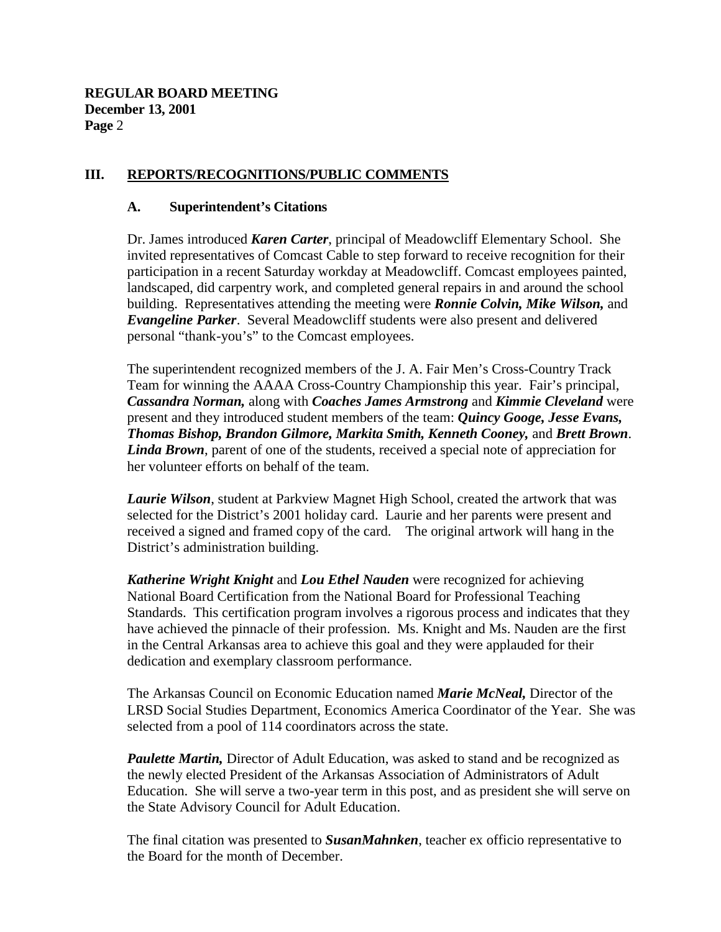### **III. REPORTS/RECOGNITIONS/PUBLIC COMMENTS**

#### **A. Superintendent's Citations**

Dr. James introduced *Karen Carter*, principal of Meadowcliff Elementary School. She invited representatives of Comcast Cable to step forward to receive recognition for their participation in a recent Saturday workday at Meadowcliff. Comcast employees painted, landscaped, did carpentry work, and completed general repairs in and around the school building. Representatives attending the meeting were *Ronnie Colvin, Mike Wilson,* and *Evangeline Parker*. Several Meadowcliff students were also present and delivered personal "thank-you's" to the Comcast employees.

The superintendent recognized members of the J. A. Fair Men's Cross-Country Track Team for winning the AAAA Cross-Country Championship this year. Fair's principal, *Cassandra Norman,* along with *Coaches James Armstrong* and *Kimmie Cleveland* were present and they introduced student members of the team: *Quincy Googe, Jesse Evans, Thomas Bishop, Brandon Gilmore, Markita Smith, Kenneth Cooney,* and *Brett Brown*. *Linda Brown*, parent of one of the students, received a special note of appreciation for her volunteer efforts on behalf of the team.

*Laurie Wilson*, student at Parkview Magnet High School, created the artwork that was selected for the District's 2001 holiday card. Laurie and her parents were present and received a signed and framed copy of the card. The original artwork will hang in the District's administration building.

*Katherine Wright Knight* and *Lou Ethel Nauden* were recognized for achieving National Board Certification from the National Board for Professional Teaching Standards. This certification program involves a rigorous process and indicates that they have achieved the pinnacle of their profession. Ms. Knight and Ms. Nauden are the first in the Central Arkansas area to achieve this goal and they were applauded for their dedication and exemplary classroom performance.

The Arkansas Council on Economic Education named *Marie McNeal,* Director of the LRSD Social Studies Department, Economics America Coordinator of the Year. She was selected from a pool of 114 coordinators across the state.

*Paulette Martin,* Director of Adult Education, was asked to stand and be recognized as the newly elected President of the Arkansas Association of Administrators of Adult Education. She will serve a two-year term in this post, and as president she will serve on the State Advisory Council for Adult Education.

The final citation was presented to *SusanMahnken*, teacher ex officio representative to the Board for the month of December.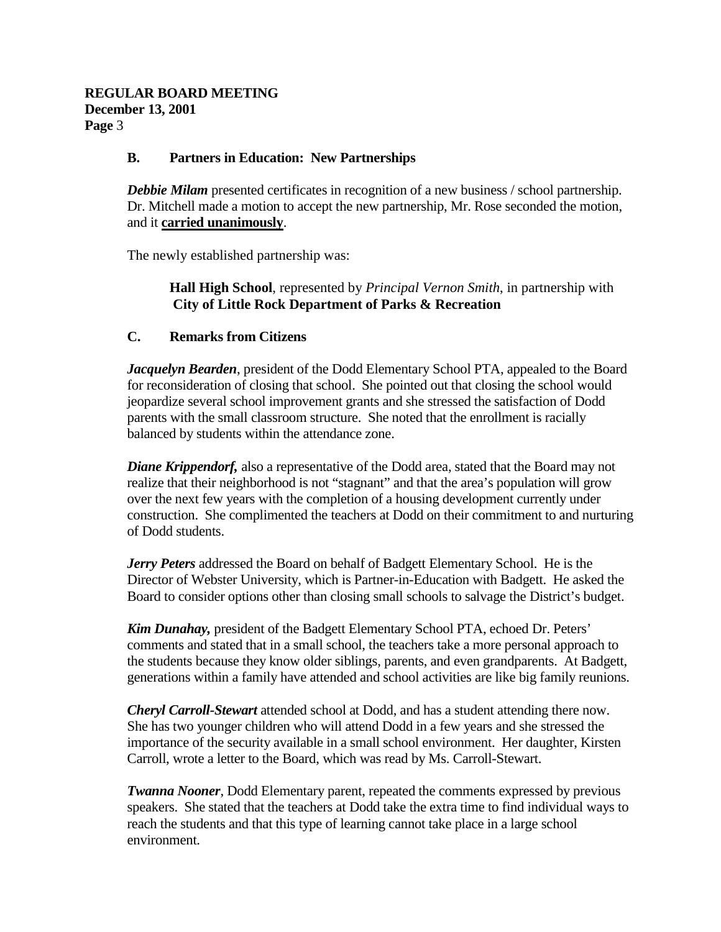### **B. Partners in Education: New Partnerships**

**Debbie Milam** presented certificates in recognition of a new business / school partnership. Dr. Mitchell made a motion to accept the new partnership, Mr. Rose seconded the motion, and it **carried unanimously**.

The newly established partnership was:

**Hall High School**, represented by *Principal Vernon Smith*, in partnership with  **City of Little Rock Department of Parks & Recreation**

### **C. Remarks from Citizens**

*Jacquelyn Bearden*, president of the Dodd Elementary School PTA, appealed to the Board for reconsideration of closing that school. She pointed out that closing the school would jeopardize several school improvement grants and she stressed the satisfaction of Dodd parents with the small classroom structure. She noted that the enrollment is racially balanced by students within the attendance zone.

*Diane Krippendorf,* also a representative of the Dodd area, stated that the Board may not realize that their neighborhood is not "stagnant" and that the area's population will grow over the next few years with the completion of a housing development currently under construction. She complimented the teachers at Dodd on their commitment to and nurturing of Dodd students.

*Jerry Peters* addressed the Board on behalf of Badgett Elementary School. He is the Director of Webster University, which is Partner-in-Education with Badgett. He asked the Board to consider options other than closing small schools to salvage the District's budget.

*Kim Dunahay,* president of the Badgett Elementary School PTA, echoed Dr. Peters' comments and stated that in a small school, the teachers take a more personal approach to the students because they know older siblings, parents, and even grandparents. At Badgett, generations within a family have attended and school activities are like big family reunions.

*Cheryl Carroll-Stewart* attended school at Dodd, and has a student attending there now. She has two younger children who will attend Dodd in a few years and she stressed the importance of the security available in a small school environment. Her daughter, Kirsten Carroll, wrote a letter to the Board, which was read by Ms. Carroll-Stewart.

*Twanna Nooner*, Dodd Elementary parent, repeated the comments expressed by previous speakers. She stated that the teachers at Dodd take the extra time to find individual ways to reach the students and that this type of learning cannot take place in a large school environment.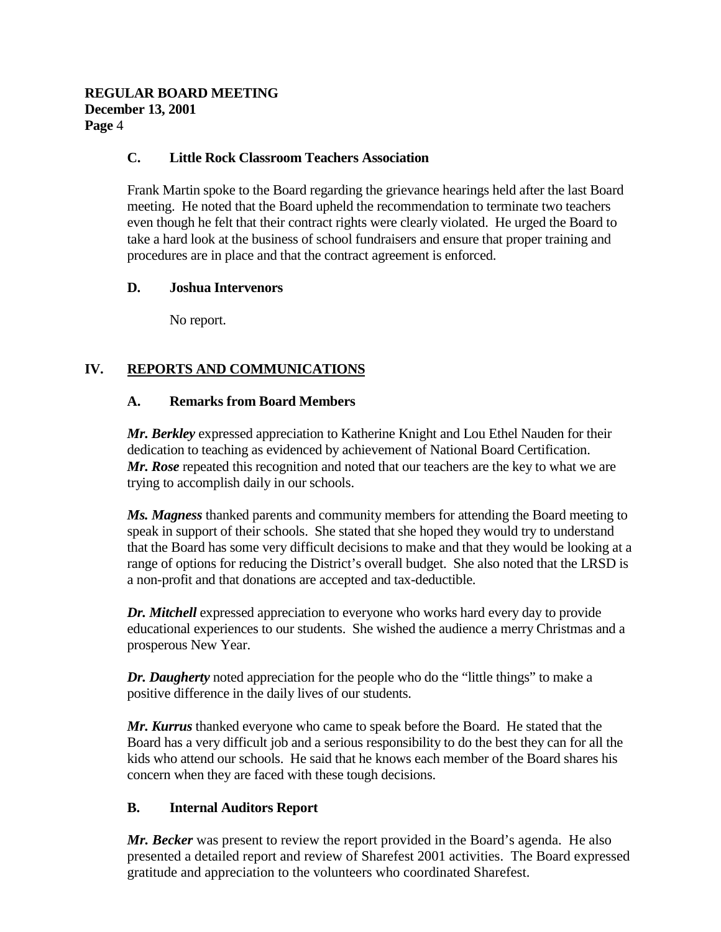### **C. Little Rock Classroom Teachers Association**

Frank Martin spoke to the Board regarding the grievance hearings held after the last Board meeting. He noted that the Board upheld the recommendation to terminate two teachers even though he felt that their contract rights were clearly violated. He urged the Board to take a hard look at the business of school fundraisers and ensure that proper training and procedures are in place and that the contract agreement is enforced.

### **D. Joshua Intervenors**

No report.

# **IV. REPORTS AND COMMUNICATIONS**

### **A. Remarks from Board Members**

*Mr. Berkley* expressed appreciation to Katherine Knight and Lou Ethel Nauden for their dedication to teaching as evidenced by achievement of National Board Certification. *Mr. Rose* repeated this recognition and noted that our teachers are the key to what we are trying to accomplish daily in our schools.

*Ms. Magness* thanked parents and community members for attending the Board meeting to speak in support of their schools. She stated that she hoped they would try to understand that the Board has some very difficult decisions to make and that they would be looking at a range of options for reducing the District's overall budget. She also noted that the LRSD is a non-profit and that donations are accepted and tax-deductible.

*Dr. Mitchell* expressed appreciation to everyone who works hard every day to provide educational experiences to our students. She wished the audience a merry Christmas and a prosperous New Year.

*Dr. Daugherty* noted appreciation for the people who do the "little things" to make a positive difference in the daily lives of our students.

*Mr. Kurrus* thanked everyone who came to speak before the Board. He stated that the Board has a very difficult job and a serious responsibility to do the best they can for all the kids who attend our schools. He said that he knows each member of the Board shares his concern when they are faced with these tough decisions.

# **B. Internal Auditors Report**

*Mr. Becker* was present to review the report provided in the Board's agenda. He also presented a detailed report and review of Sharefest 2001 activities. The Board expressed gratitude and appreciation to the volunteers who coordinated Sharefest.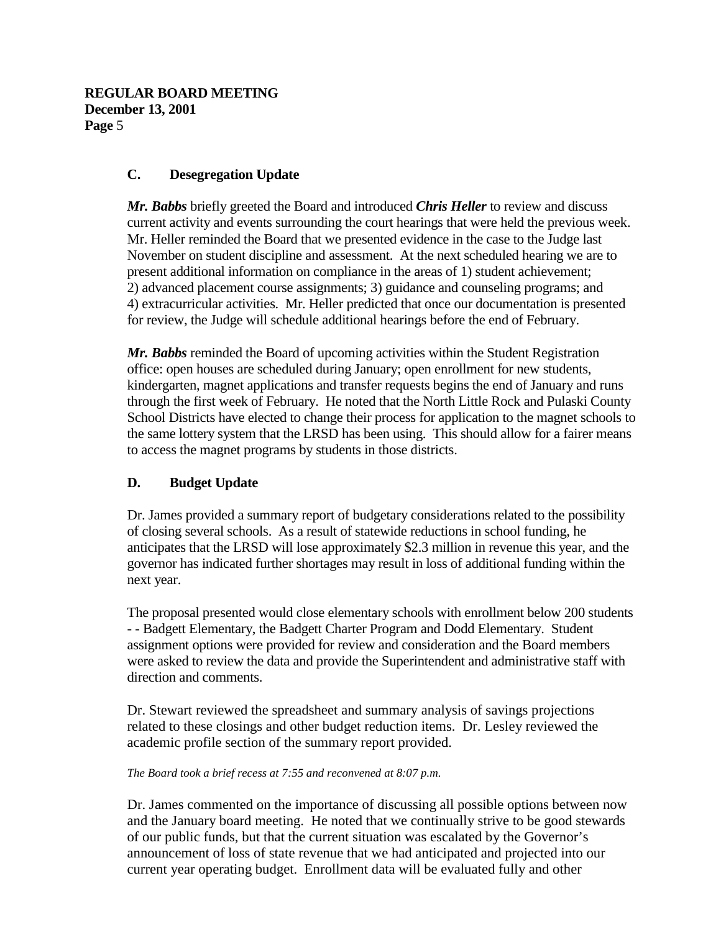### **C. Desegregation Update**

*Mr. Babbs* briefly greeted the Board and introduced *Chris Heller* to review and discuss current activity and events surrounding the court hearings that were held the previous week. Mr. Heller reminded the Board that we presented evidence in the case to the Judge last November on student discipline and assessment. At the next scheduled hearing we are to present additional information on compliance in the areas of 1) student achievement; 2) advanced placement course assignments; 3) guidance and counseling programs; and 4) extracurricular activities. Mr. Heller predicted that once our documentation is presented for review, the Judge will schedule additional hearings before the end of February.

*Mr. Babbs* reminded the Board of upcoming activities within the Student Registration office: open houses are scheduled during January; open enrollment for new students, kindergarten, magnet applications and transfer requests begins the end of January and runs through the first week of February. He noted that the North Little Rock and Pulaski County School Districts have elected to change their process for application to the magnet schools to the same lottery system that the LRSD has been using. This should allow for a fairer means to access the magnet programs by students in those districts.

# **D. Budget Update**

Dr. James provided a summary report of budgetary considerations related to the possibility of closing several schools. As a result of statewide reductions in school funding, he anticipates that the LRSD will lose approximately \$2.3 million in revenue this year, and the governor has indicated further shortages may result in loss of additional funding within the next year.

The proposal presented would close elementary schools with enrollment below 200 students - - Badgett Elementary, the Badgett Charter Program and Dodd Elementary. Student assignment options were provided for review and consideration and the Board members were asked to review the data and provide the Superintendent and administrative staff with direction and comments.

Dr. Stewart reviewed the spreadsheet and summary analysis of savings projections related to these closings and other budget reduction items. Dr. Lesley reviewed the academic profile section of the summary report provided.

#### *The Board took a brief recess at 7:55 and reconvened at 8:07 p.m.*

Dr. James commented on the importance of discussing all possible options between now and the January board meeting. He noted that we continually strive to be good stewards of our public funds, but that the current situation was escalated by the Governor's announcement of loss of state revenue that we had anticipated and projected into our current year operating budget. Enrollment data will be evaluated fully and other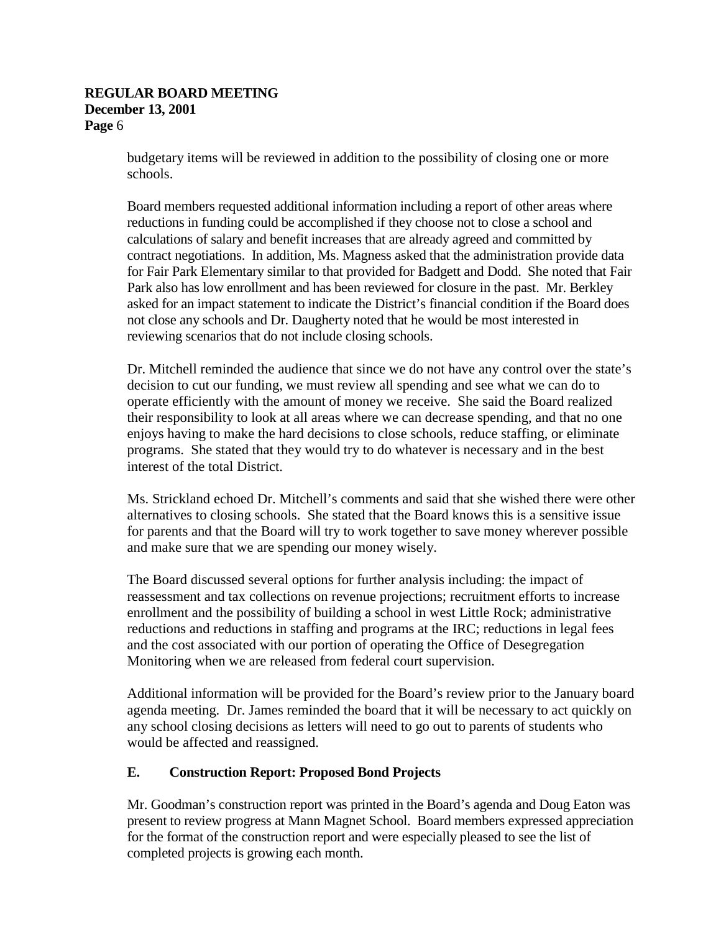budgetary items will be reviewed in addition to the possibility of closing one or more schools.

Board members requested additional information including a report of other areas where reductions in funding could be accomplished if they choose not to close a school and calculations of salary and benefit increases that are already agreed and committed by contract negotiations. In addition, Ms. Magness asked that the administration provide data for Fair Park Elementary similar to that provided for Badgett and Dodd. She noted that Fair Park also has low enrollment and has been reviewed for closure in the past. Mr. Berkley asked for an impact statement to indicate the District's financial condition if the Board does not close any schools and Dr. Daugherty noted that he would be most interested in reviewing scenarios that do not include closing schools.

Dr. Mitchell reminded the audience that since we do not have any control over the state's decision to cut our funding, we must review all spending and see what we can do to operate efficiently with the amount of money we receive. She said the Board realized their responsibility to look at all areas where we can decrease spending, and that no one enjoys having to make the hard decisions to close schools, reduce staffing, or eliminate programs. She stated that they would try to do whatever is necessary and in the best interest of the total District.

Ms. Strickland echoed Dr. Mitchell's comments and said that she wished there were other alternatives to closing schools. She stated that the Board knows this is a sensitive issue for parents and that the Board will try to work together to save money wherever possible and make sure that we are spending our money wisely.

The Board discussed several options for further analysis including: the impact of reassessment and tax collections on revenue projections; recruitment efforts to increase enrollment and the possibility of building a school in west Little Rock; administrative reductions and reductions in staffing and programs at the IRC; reductions in legal fees and the cost associated with our portion of operating the Office of Desegregation Monitoring when we are released from federal court supervision.

Additional information will be provided for the Board's review prior to the January board agenda meeting. Dr. James reminded the board that it will be necessary to act quickly on any school closing decisions as letters will need to go out to parents of students who would be affected and reassigned.

# **E. Construction Report: Proposed Bond Projects**

Mr. Goodman's construction report was printed in the Board's agenda and Doug Eaton was present to review progress at Mann Magnet School. Board members expressed appreciation for the format of the construction report and were especially pleased to see the list of completed projects is growing each month.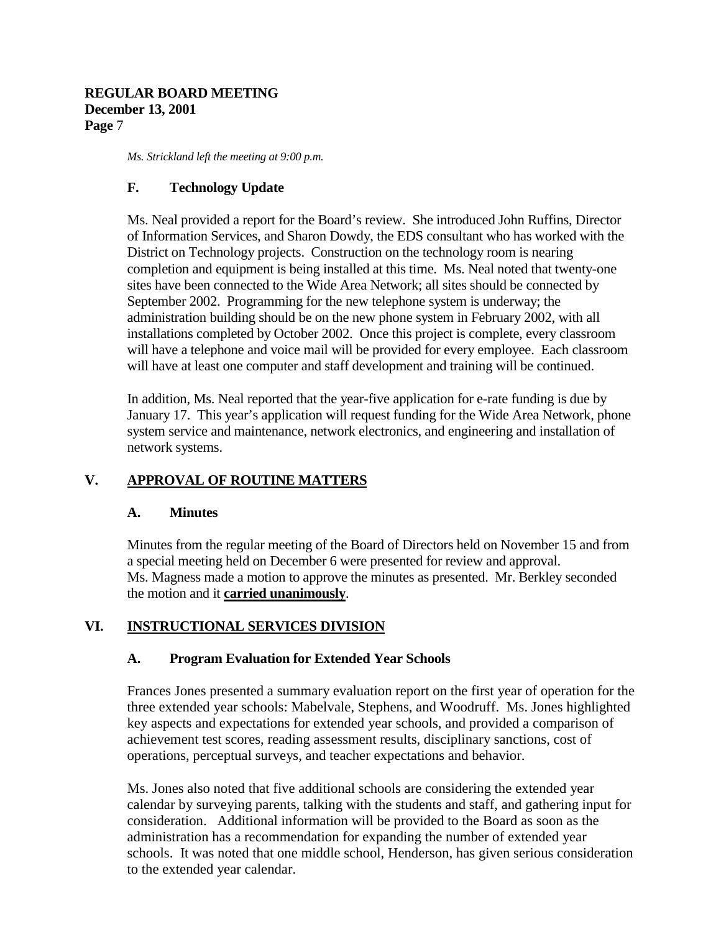*Ms. Strickland left the meeting at 9:00 p.m.*

### **F. Technology Update**

Ms. Neal provided a report for the Board's review. She introduced John Ruffins, Director of Information Services, and Sharon Dowdy, the EDS consultant who has worked with the District on Technology projects. Construction on the technology room is nearing completion and equipment is being installed at this time. Ms. Neal noted that twenty-one sites have been connected to the Wide Area Network; all sites should be connected by September 2002. Programming for the new telephone system is underway; the administration building should be on the new phone system in February 2002, with all installations completed by October 2002. Once this project is complete, every classroom will have a telephone and voice mail will be provided for every employee. Each classroom will have at least one computer and staff development and training will be continued.

In addition, Ms. Neal reported that the year-five application for e-rate funding is due by January 17. This year's application will request funding for the Wide Area Network, phone system service and maintenance, network electronics, and engineering and installation of network systems.

# **V. APPROVAL OF ROUTINE MATTERS**

### **A. Minutes**

Minutes from the regular meeting of the Board of Directors held on November 15 and from a special meeting held on December 6 were presented for review and approval. Ms. Magness made a motion to approve the minutes as presented. Mr. Berkley seconded the motion and it **carried unanimously**.

# **VI. INSTRUCTIONAL SERVICES DIVISION**

### **A. Program Evaluation for Extended Year Schools**

Frances Jones presented a summary evaluation report on the first year of operation for the three extended year schools: Mabelvale, Stephens, and Woodruff. Ms. Jones highlighted key aspects and expectations for extended year schools, and provided a comparison of achievement test scores, reading assessment results, disciplinary sanctions, cost of operations, perceptual surveys, and teacher expectations and behavior.

Ms. Jones also noted that five additional schools are considering the extended year calendar by surveying parents, talking with the students and staff, and gathering input for consideration. Additional information will be provided to the Board as soon as the administration has a recommendation for expanding the number of extended year schools. It was noted that one middle school, Henderson, has given serious consideration to the extended year calendar.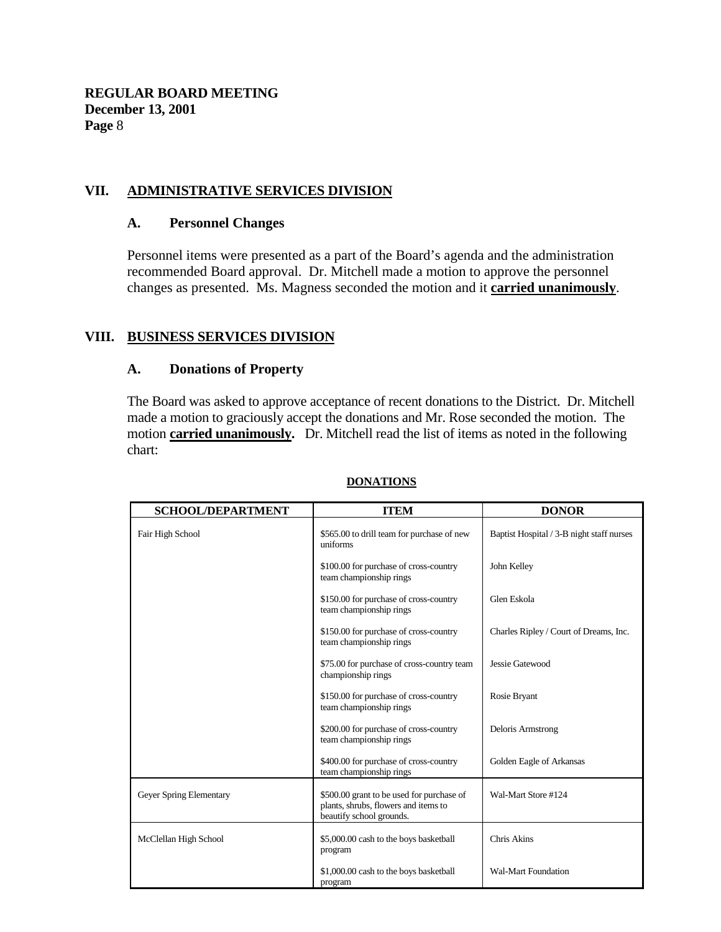### **VII. ADMINISTRATIVE SERVICES DIVISION**

#### **A. Personnel Changes**

Personnel items were presented as a part of the Board's agenda and the administration recommended Board approval. Dr. Mitchell made a motion to approve the personnel changes as presented. Ms. Magness seconded the motion and it **carried unanimously**.

### **VIII. BUSINESS SERVICES DIVISION**

#### **A. Donations of Property**

The Board was asked to approve acceptance of recent donations to the District. Dr. Mitchell made a motion to graciously accept the donations and Mr. Rose seconded the motion. The motion **carried unanimously.** Dr. Mitchell read the list of items as noted in the following chart:

| <b>SCHOOL/DEPARTMENT</b> | <b>ITEM</b>                                                                                                   | <b>DONOR</b>                              |
|--------------------------|---------------------------------------------------------------------------------------------------------------|-------------------------------------------|
| Fair High School         | \$565.00 to drill team for purchase of new<br>uniforms                                                        | Baptist Hospital / 3-B night staff nurses |
|                          | \$100.00 for purchase of cross-country<br>team championship rings                                             | John Kelley                               |
|                          | \$150.00 for purchase of cross-country<br>team championship rings                                             | Glen Eskola                               |
|                          | \$150.00 for purchase of cross-country<br>team championship rings                                             | Charles Ripley / Court of Dreams, Inc.    |
|                          | \$75.00 for purchase of cross-country team<br>championship rings                                              | Jessie Gatewood                           |
|                          | \$150.00 for purchase of cross-country<br>team championship rings                                             | Rosie Bryant                              |
|                          | \$200.00 for purchase of cross-country<br>team championship rings                                             | Deloris Armstrong                         |
|                          | \$400.00 for purchase of cross-country<br>team championship rings                                             | Golden Eagle of Arkansas                  |
| Geyer Spring Elementary  | \$500.00 grant to be used for purchase of<br>plants, shrubs, flowers and items to<br>beautify school grounds. | Wal-Mart Store #124                       |
| McClellan High School    | \$5,000.00 cash to the boys basketball<br>program                                                             | Chris Akins                               |
|                          | \$1,000.00 cash to the boys basketball<br>program                                                             | <b>Wal-Mart Foundation</b>                |

#### **DONATIONS**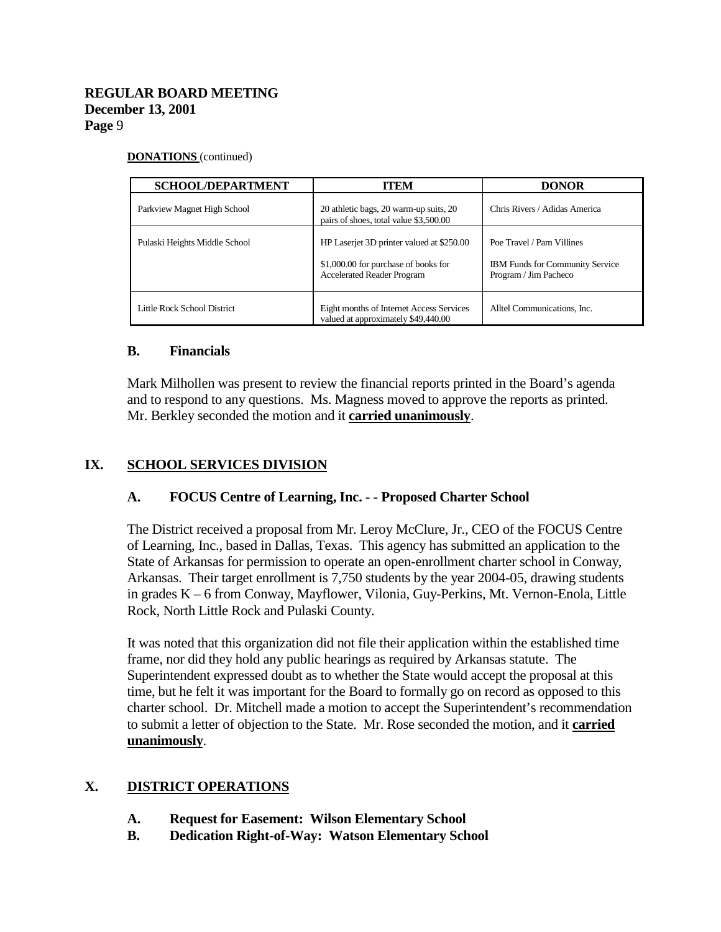#### **DONATIONS** (continued)

| <b>SCHOOL/DEPARTMENT</b>      | ITEM                                                                                                                   | <b>DONOR</b>                                                                                 |
|-------------------------------|------------------------------------------------------------------------------------------------------------------------|----------------------------------------------------------------------------------------------|
| Parkview Magnet High School   | 20 athletic bags, 20 warm-up suits, 20<br>pairs of shoes, total value \$3,500.00                                       | Chris Rivers / Adidas America                                                                |
| Pulaski Heights Middle School | HP Laserjet 3D printer valued at \$250.00<br>\$1,000.00 for purchase of books for<br><b>Accelerated Reader Program</b> | Poe Travel / Pam Villines<br><b>IBM Funds for Community Service</b><br>Program / Jim Pacheco |
| Little Rock School District   | Eight months of Internet Access Services<br>valued at approximately \$49,440.00                                        | Alltel Communications, Inc.                                                                  |

#### **B. Financials**

Mark Milhollen was present to review the financial reports printed in the Board's agenda and to respond to any questions. Ms. Magness moved to approve the reports as printed. Mr. Berkley seconded the motion and it **carried unanimously**.

### **IX. SCHOOL SERVICES DIVISION**

### **A. FOCUS Centre of Learning, Inc. - - Proposed Charter School**

The District received a proposal from Mr. Leroy McClure, Jr., CEO of the FOCUS Centre of Learning, Inc., based in Dallas, Texas. This agency has submitted an application to the State of Arkansas for permission to operate an open-enrollment charter school in Conway, Arkansas. Their target enrollment is 7,750 students by the year 2004-05, drawing students in grades K – 6 from Conway, Mayflower, Vilonia, Guy-Perkins, Mt. Vernon-Enola, Little Rock, North Little Rock and Pulaski County.

It was noted that this organization did not file their application within the established time frame, nor did they hold any public hearings as required by Arkansas statute. The Superintendent expressed doubt as to whether the State would accept the proposal at this time, but he felt it was important for the Board to formally go on record as opposed to this charter school. Dr. Mitchell made a motion to accept the Superintendent's recommendation to submit a letter of objection to the State. Mr. Rose seconded the motion, and it **carried unanimously**.

### **X. DISTRICT OPERATIONS**

- **A. Request for Easement: Wilson Elementary School**
- **B. Dedication Right-of-Way: Watson Elementary School**